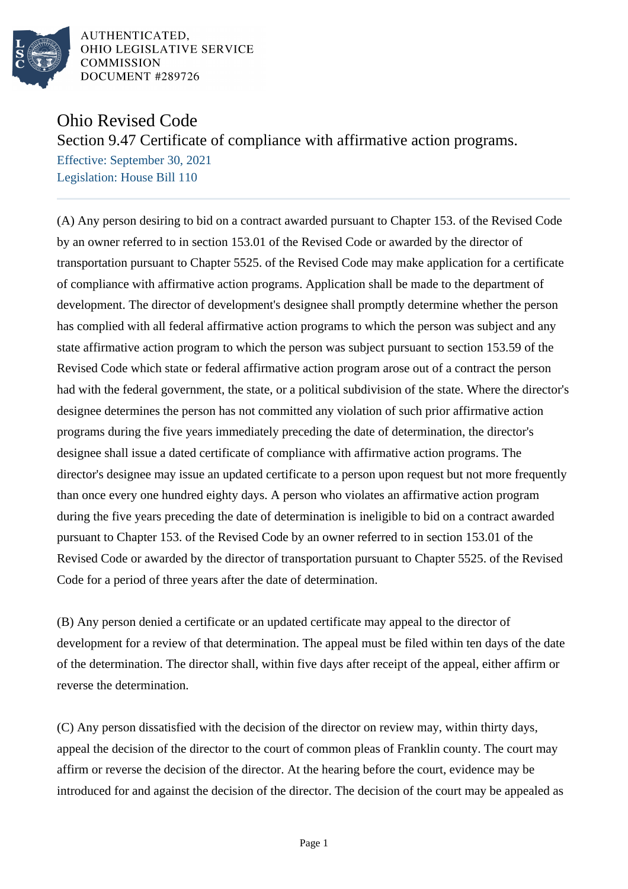

AUTHENTICATED, OHIO LEGISLATIVE SERVICE **COMMISSION** DOCUMENT #289726

## Ohio Revised Code

Section 9.47 Certificate of compliance with affirmative action programs.

Effective: September 30, 2021 Legislation: House Bill 110

(A) Any person desiring to bid on a contract awarded pursuant to Chapter 153. of the Revised Code by an owner referred to in section 153.01 of the Revised Code or awarded by the director of transportation pursuant to Chapter 5525. of the Revised Code may make application for a certificate of compliance with affirmative action programs. Application shall be made to the department of development. The director of development's designee shall promptly determine whether the person has complied with all federal affirmative action programs to which the person was subject and any state affirmative action program to which the person was subject pursuant to section 153.59 of the Revised Code which state or federal affirmative action program arose out of a contract the person had with the federal government, the state, or a political subdivision of the state. Where the director's designee determines the person has not committed any violation of such prior affirmative action programs during the five years immediately preceding the date of determination, the director's designee shall issue a dated certificate of compliance with affirmative action programs. The director's designee may issue an updated certificate to a person upon request but not more frequently than once every one hundred eighty days. A person who violates an affirmative action program during the five years preceding the date of determination is ineligible to bid on a contract awarded pursuant to Chapter 153. of the Revised Code by an owner referred to in section 153.01 of the Revised Code or awarded by the director of transportation pursuant to Chapter 5525. of the Revised Code for a period of three years after the date of determination.

(B) Any person denied a certificate or an updated certificate may appeal to the director of development for a review of that determination. The appeal must be filed within ten days of the date of the determination. The director shall, within five days after receipt of the appeal, either affirm or reverse the determination.

(C) Any person dissatisfied with the decision of the director on review may, within thirty days, appeal the decision of the director to the court of common pleas of Franklin county. The court may affirm or reverse the decision of the director. At the hearing before the court, evidence may be introduced for and against the decision of the director. The decision of the court may be appealed as